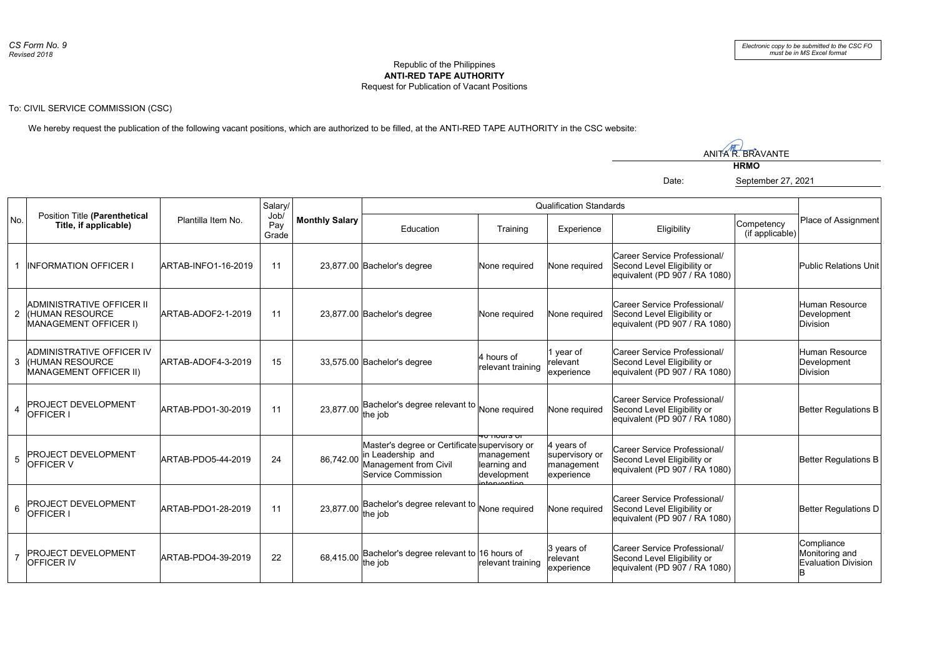## Republic of the Philippines **ANTI-RED TAPE AUTHORITY** Request for Publication of Vacant Positions

## To: CIVIL SERVICE COMMISSION (CSC)

We hereby request the publication of the following vacant positions, which are authorized to be filled, at the ANTI-RED TAPE AUTHORITY in the CSC website:

ANITA<sup>N</sup>R. BRAVANTE **HRMO** Date: September 27, 2021

| No.            | Position Title (Parenthetical<br>Title, if applicable)                               | Plantilla Item No.  | Salarv/<br>Job/<br>Pav<br>Grade | <b>Monthly Salary</b> | <b>Qualification Standards</b>                                                                                    |                                                                                    |                                                          |                                                                                              |                               |                                                            |
|----------------|--------------------------------------------------------------------------------------|---------------------|---------------------------------|-----------------------|-------------------------------------------------------------------------------------------------------------------|------------------------------------------------------------------------------------|----------------------------------------------------------|----------------------------------------------------------------------------------------------|-------------------------------|------------------------------------------------------------|
|                |                                                                                      |                     |                                 |                       | Education                                                                                                         | Training                                                                           | Experience                                               | Eligibility                                                                                  | Competency<br>(if applicable) | Place of Assignment                                        |
|                | <b>INFORMATION OFFICER I</b>                                                         | ARTAB-INFO1-16-2019 | 11                              |                       | 23,877.00 Bachelor's degree                                                                                       | None required                                                                      | None required                                            | Career Service Professional/<br>Second Level Eligibility or<br>equivalent (PD 907 / RA 1080) |                               | Public Relations Unit                                      |
|                | ADMINISTRATIVE OFFICER II<br>2 KHUMAN RESOURCE<br><b>MANAGEMENT OFFICER I)</b>       | ARTAB-ADOF2-1-2019  | 11                              |                       | 23,877.00 Bachelor's degree                                                                                       | None required                                                                      | None required                                            | Career Service Professional/<br>Second Level Eligibility or<br>equivalent (PD 907 / RA 1080) |                               | Human Resource<br>Development<br><b>Division</b>           |
| 3              | ADMINISTRATIVE OFFICER IV<br><b>IHUMAN RESOURCE</b><br><b>MANAGEMENT OFFICER II)</b> | ARTAB-ADOF4-3-2019  | 15                              |                       | 33,575.00 Bachelor's degree                                                                                       | 4 hours of<br>relevant training                                                    | vear of<br>relevant<br>experience                        | Career Service Professional/<br>Second Level Eligibility or<br>equivalent (PD 907 / RA 1080) |                               | Human Resource<br>Development<br>Division                  |
| $\overline{4}$ | PROJECT DEVELOPMENT<br>OFFICER I                                                     | ARTAB-PDO1-30-2019  | 11                              | 23,877.00             | Bachelor's degree relevant to<br>the job                                                                          | None required                                                                      | None required                                            | Career Service Professional/<br>Second Level Eligibility or<br>equivalent (PD 907 / RA 1080) |                               | Better Regulations B                                       |
| 5              | PROJECT DEVELOPMENT<br>OFFICER V                                                     | ARTAB-PDO5-44-2019  | 24                              | 86,742.00             | Master's degree or Certificate supervisory or<br>in Leadership and<br>Management from Civil<br>Service Commission | <del>ru nuurs ur</del><br>management<br>learning and<br>development<br>atoryontion | 4 years of<br>supervisory or<br>management<br>experience | Career Service Professional/<br>Second Level Eligibility or<br>equivalent (PD 907 / RA 1080) |                               | Better Regulations B                                       |
| 6              | <b>PROJECT DEVELOPMENT</b><br>OFFICER I                                              | ARTAB-PDO1-28-2019  | 11                              | 23,877.00             | Bachelor's degree relevant to<br>the job                                                                          | None required                                                                      | None required                                            | Career Service Professional/<br>Second Level Eligibility or<br>equivalent (PD 907 / RA 1080) |                               | Better Regulations D                                       |
| $\overline{7}$ | <b>PROJECT DEVELOPMENT</b><br><b>OFFICER IV</b>                                      | ARTAB-PDO4-39-2019  | 22                              | 68.415.00             | Bachelor's degree relevant to 16 hours of<br>the job                                                              | relevant training                                                                  | 3 years of<br>relevant<br>experience                     | Career Service Professional/<br>Second Level Eligibility or<br>equivalent (PD 907 / RA 1080) |                               | Compliance<br>Monitoring and<br><b>Evaluation Division</b> |